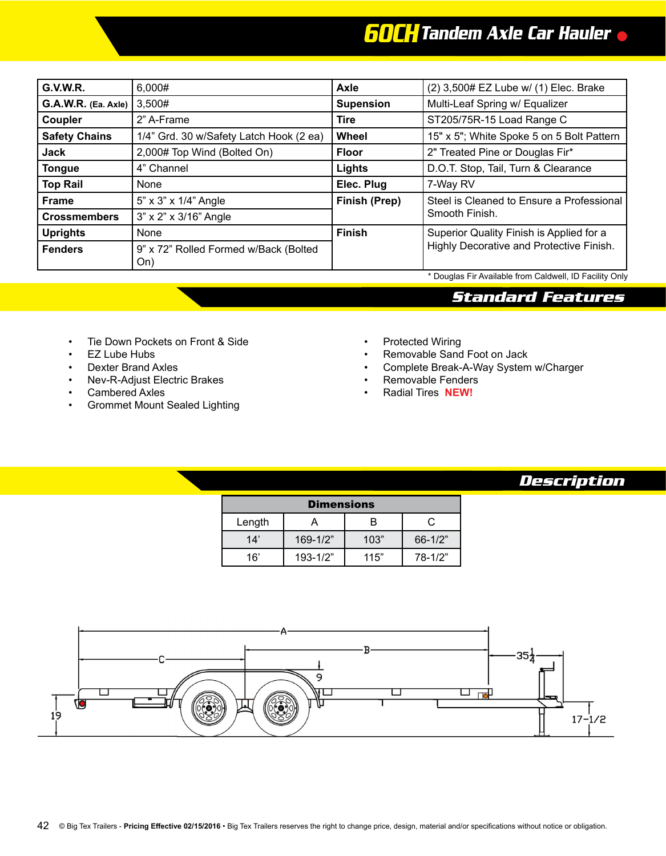## *60CHTandem Axle Car Hauler*

| <b>G.V.W.R.</b>      | 6,000#                                       | Axle             | (2) 3,500# EZ Lube w/ (1) Elec. Brake                                                |  |
|----------------------|----------------------------------------------|------------------|--------------------------------------------------------------------------------------|--|
| G.A.W.R. (Ea. Axle)  | 3,500#                                       | <b>Supension</b> | Multi-Leaf Spring w/ Equalizer                                                       |  |
| Coupler              | 2" A-Frame                                   | <b>Tire</b>      | ST205/75R-15 Load Range C                                                            |  |
| <b>Safety Chains</b> | 1/4" Grd. 30 w/Safety Latch Hook (2 ea)      | Wheel            | 15" x 5"; White Spoke 5 on 5 Bolt Pattern                                            |  |
| Jack                 | 2,000# Top Wind (Bolted On)                  | <b>Floor</b>     | 2" Treated Pine or Douglas Fir*                                                      |  |
| <b>Tongue</b>        | 4" Channel                                   | Lights           | D.O.T. Stop, Tail, Turn & Clearance                                                  |  |
| <b>Top Rail</b>      | None                                         | Elec. Plug       | 7-Way RV                                                                             |  |
| <b>Frame</b>         | 5" x 3" x 1/4" Angle                         | Finish (Prep)    | Steel is Cleaned to Ensure a Professional                                            |  |
| <b>Crossmembers</b>  | 3" x 2" x 3/16" Angle                        |                  | Smooth Finish.                                                                       |  |
| <b>Uprights</b>      | None                                         | <b>Finish</b>    | Superior Quality Finish is Applied for a<br>Highly Decorative and Protective Finish. |  |
| <b>Fenders</b>       | 9" x 72" Rolled Formed w/Back (Bolted<br>On) |                  |                                                                                      |  |

\* Douglas Fir Available from Caldwell, ID Facility Only

## *Standard Features*

- Tie Down Pockets on Front & Side
- EZ Lube Hubs
- Dexter Brand Axles
- Nev-R-Adjust Electric Brakes
- Cambered Axles
- Grommet Mount Sealed Lighting
- Protected Wiring
- Removable Sand Foot on Jack
- Complete Break-A-Way System w/Charger
- Removable Fenders
- Radial Tires **NEW!**

## *Description*

| <b>Dimensions</b> |              |      |             |  |  |  |  |
|-------------------|--------------|------|-------------|--|--|--|--|
| Length            |              | ĸ    | C           |  |  |  |  |
| 14'               | 169-1/2"     | 103" | $66 - 1/2"$ |  |  |  |  |
| 16'               | $193 - 1/2"$ | 115" | 78-1/2"     |  |  |  |  |